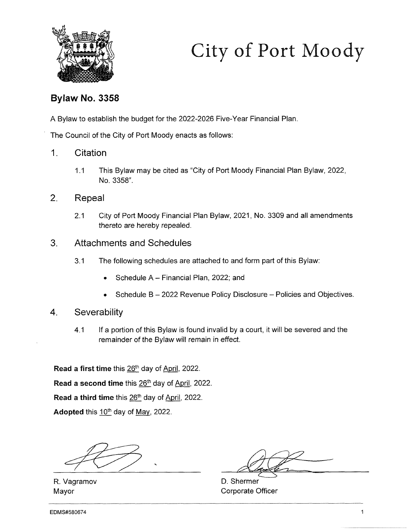

# City of Port Moody

## Bylaw No. 3358

A Bylaw to establish the budget for the 2022-2026 Five-Year Financial Plan.

The Council of the City of Port Moody enacts as follows:

- 1. Citation
	- 1.1 This Bylaw may be cited as "City of Port Moody Financial Plan Bylaw, 2022, No. 3358".
- 2. Repeal
	- 2.1 City of Port Moody Financial Plan Bylaw, 2021, No. 3309 and all amendments thereto are hereby repealed.
- 3. Attachments and Schedules
	- 3.1 The following schedules are attached to and form part of this Bylaw:
		- Schedule A Financial Plan, 2022; and
		- Schedule B 2022 Revenue Policy Disclosure Policies and Objectives.
- 4. Severability
	- 4.1 If a portion of this Bylaw is found invalid by a court, it will be severed and the remainder of the Bylaw will remain in effect.

Read a first time this 26<sup>th</sup> day of April, 2022.

Read a second time this  $26<sup>th</sup>$  day of April, 2022.

Read a third time this 26<sup>th</sup> day of April, 2022.

Adopted this  $10<sup>th</sup>$  day of May, 2022.

R. Vagramov Mayor

D. Shermer Corporate Officer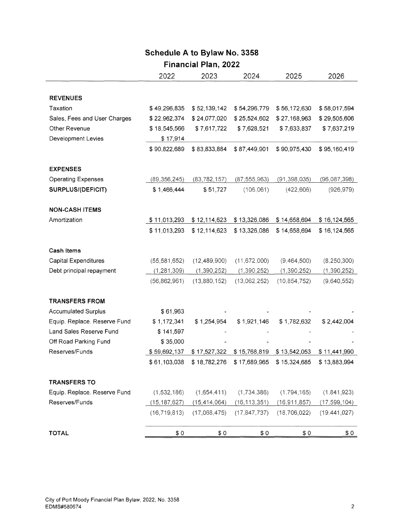## Schedule A to Bylaw No. 3358

# Financial Plan, 2022

|                              | 2022           | 2023           | 2024           | 2025           | 2026           |
|------------------------------|----------------|----------------|----------------|----------------|----------------|
|                              |                |                |                |                |                |
| <b>REVENUES</b>              |                |                |                |                |                |
| Taxation                     | \$49,296,835   | \$52,139,142   | \$54,296,779   | \$56,172,630   | \$58,017,594   |
| Sales, Fees and User Charges | \$22,962,374   | \$24,077,020   | \$25,524,602   | \$27,168,963   | \$29,505,606   |
| Other Revenue                | \$18,545,566   | \$7,617,722    | \$7,628,521    | \$7,633,837    | \$7,637,219    |
| Development Levies           | \$17,914       |                |                |                |                |
|                              | \$90,822,689   | \$83,833,884   | \$87,449,901   | \$90,975,430   | \$95,160,419   |
| <b>EXPENSES</b>              |                |                |                |                |                |
| <b>Operating Expenses</b>    | (89, 356, 245) | (83, 782, 157) | (87, 555, 963) | (91, 398, 035) | (96,087,398)   |
| SURPLUS/(DEFICIT)            | \$1,466,444    | \$51,727       | (106, 061)     | (422, 606)     | (926, 979)     |
| <b>NON-CASH ITEMS</b>        |                |                |                |                |                |
| Amortization                 | \$11,013,293   | \$12,114,623   | \$13,326,086   | \$14,658,694   | \$16,124,565   |
|                              | \$11,013,293   | \$12,114,623   | \$13,326,086   | \$14,658,694   | \$16,124,565   |
| <b>Cash Items</b>            |                |                |                |                |                |
| <b>Capital Expenditures</b>  | (55, 581, 652) | (12, 489, 900) | (11, 672, 000) | (9,464,500)    | (8, 250, 300)  |
| Debt principal repayment     | (1, 281, 309)  | (1, 390, 252)  | (1,390,252)    | (1,390,252)    | (1,390,252)    |
|                              | (56, 862, 961) | (13,880,152)   | (13,062,252)   | (10, 854, 752) | (9,640,552)    |
| <b>TRANSFERS FROM</b>        |                |                |                |                |                |
| <b>Accumulated Surplus</b>   | \$61,963       |                |                |                |                |
| Equip. Replace. Reserve Fund | \$1,172,341    | \$1,254,954    | \$1,921,146    | \$1,782,632    | \$2,442,004    |
| Land Sales Reserve Fund      | \$141,597      |                |                |                |                |
| Off Road Parking Fund        | \$35,000       |                |                |                |                |
| Reserves/Funds               | \$59,692,137   | \$17,527,322   | \$15,768,819   | \$13,542,053   | \$11,441,990   |
|                              | \$61,103,038   | \$18,782,276   | \$17,689,965   | \$15,324,685   | \$13,883,994   |
| <b>TRANSFERS TO</b>          |                |                |                |                |                |
| Equip. Replace. Reserve Fund | (1,532,186)    | (1,654,411)    | (1,734,386)    | (1,794,165)    | (1,841,923)    |
| Reserves/Funds               | (15, 187, 627) | (15, 414, 064) | (16, 113, 351) | (16, 911, 857) | (17, 599, 104) |
|                              | (16, 719, 813) | (17,068,475)   | (17, 847, 737) | (18,706,022)   | (19, 441, 027) |
| <b>TOTAL</b>                 | \$0            | \$0            | \$0            | \$0            | \$0            |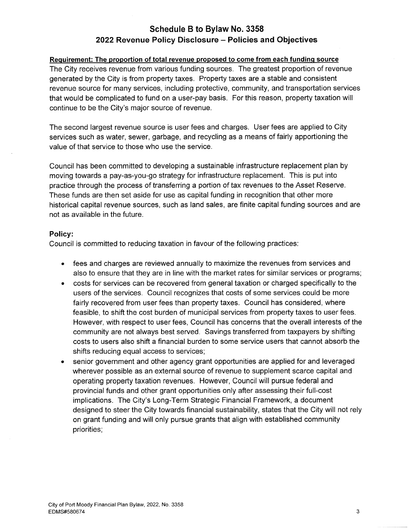### Schedule B to Bylaw No. 3358 2022 Revenue Policy Disclosure - Policies and Objectives

#### Requirement: The proportion of total revenue proposed to come from each funding source

The City receives revenue from various funding sources. The greatest proportion of revenue generated by the City is from property taxes. Property taxes are a stable and consistent revenue source for many services, including protective, community, and transportation services that would be complicated to fund on a user-pay basis. For this reason, property taxation will continue to be the City's major source of revenue.

The second largest revenue source is user fees and charges. User fees are applied to City services such as water, sewer, garbage, and recycling as a means of fairly apportioning the value of that service to those who use the service.

Council has been committed to developing a sustainable infrastructure replacement plan by moving towards a pay-as-you-go strategy for infrastructure replacement. This is put into practice through the process of transferring a portion of tax revenues to the Asset Reserve. These funds are then set aside for use as capital funding in recognition that other more historical capital revenue sources, such as land sales, are finite capital funding sources and are not as available in the future.

#### Policy:

Council is committed to reducing taxation in favour of the following practices:

- fees and charges are reviewed annually to maximize the revenues from services and also to ensure that they are in line with the market rates for similar services or programs;
- costs for services can be recovered from general taxation or charged specifically to the users of the services. Council recognizes that costs of some services could be more fairly recovered from user fees than property taxes. Council has considered, where feasible, to shift the cost burden of municipal services from property taxes to user fees. However, with respect to user fees, Council has concerns that the overall interests of the community are not always best served. Savings transferred from taxpayers by shifting costs to users also shift a financial burden to some service users that cannot absorb the shifts reducing equal access to services;
- senior government and other agency grant opportunities are applied for and leveraged wherever possible as an external source of revenue to supplement scarce capital and operating property taxation revenues. However, Council will pursue federal and provincial funds and other grant opportunities only after assessing their full-cost implications. The City's Long-Term Strategic Financial Framework, a document designed to steer the City towards financial sustainability, states that the City will not rely on grant funding and will only pursue grants that align with established community priorities;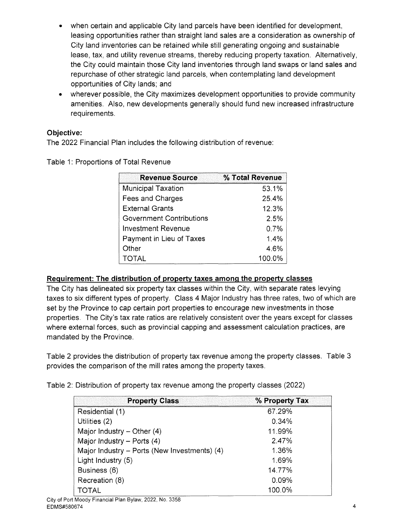- when certain and applicable City land parcels have been identified for development, leasing opportunities rather than straight land sales are a consideration as ownership of City land inventories can be retained while still generating ongoing and sustainable lease, tax, and utility revenue streams, thereby reducing property taxation. Alternatively, the City could maintain those City land inventories through land swaps or land sales and repurchase of other strategic land parcels, when contemplating land development opportunities of City lands; and
- wherever possible, the City maximizes development opportunities to provide community amenities. Also, new developments generally should fund new increased infrastructure requirements.

#### Objective:

The 2022 Financial Plan includes the following distribution of revenue:

Table 1: Proportions of Total Revenue

| <b>Revenue Source</b>     | % Total Revenue |
|---------------------------|-----------------|
| <b>Municipal Taxation</b> | 53.1%           |
| Fees and Charges          | 25.4%           |
| <b>External Grants</b>    | 12.3%           |
| Government Contributions  | 2.5%            |
| <b>Investment Revenue</b> | 0.7%            |
| Payment in Lieu of Taxes  | 1.4%            |
| Other                     | 4.6%            |
| <b>TOTAL</b>              | 100.0%          |

#### Requirement: The distribution of property taxes among the property classes

The City has delineated six property tax classes within the City, with separate rates levying taxes to six different types of property. Class 4 Major Industry has three rates, two of which are set by the Province to cap certain port properties to encourage new investments in those properties. The City's tax rate ratios are relatively consistent over the years except for classes where external forces, such as provincial capping and assessment calculation practices, are mandated by the Province.

Table 2 provides the distribution of property tax revenue among the property classes. Table 3 provides the comparison of the mill rates among the property taxes.

Table 2: Distribution of property tax revenue among the property classes (2022)

| <b>Property Class</b>                        | % Property Tax |
|----------------------------------------------|----------------|
| Residential (1)                              | 67.29%         |
| Utilities (2)                                | 0.34%          |
| Major Industry $-$ Other (4)                 | 11.99%         |
| Major Industry - Ports $(4)$                 | 2.47%          |
| Major Industry - Ports (New Investments) (4) | 1.36%          |
| Light Industry (5)                           | 1.69%          |
| Business (6)                                 | 14.77%         |
| Recreation (8)                               | 0.09%          |
| TOTAL                                        | 100.0%         |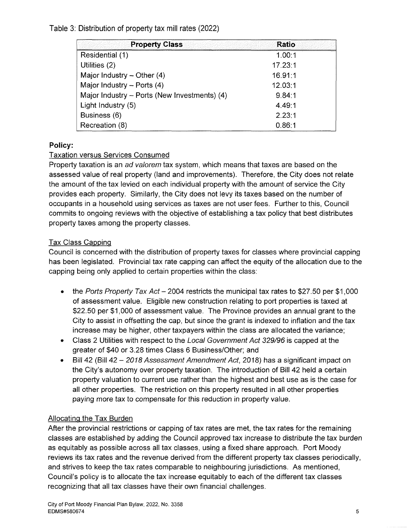#### Table 3: Distribution of property tax mill rates (2022)

| <b>Property Class</b>                        | <b>Ratio</b> |
|----------------------------------------------|--------------|
| Residential (1)                              | 1.00:1       |
| Utilities (2)                                | 17.23:1      |
| Major Industry $-$ Other (4)                 | 16.91:1      |
| Major Industry - Ports (4)                   | 12.03:1      |
| Major Industry - Ports (New Investments) (4) | 9.84:1       |
| Light Industry (5)                           | 4.49:1       |
| Business (6)                                 | 2.23:1       |
| Recreation (8)                               | 0.86:1       |

#### Policy:

#### Taxation versus Services Consumed

Property taxation is an ad valorem tax system, which means that taxes are based on the assessed value of real property (land and improvements). Therefore, the City does not relate the amount of the tax levied on each individual property with the amount of service the City provides each property. Similarly, the City does not levy its taxes based on the number of occupants in a household using services as taxes are not user fees. Further to this, Council commits to ongoing reviews with the objective of establishing a tax policy that best distributes property taxes among the property classes.

#### **Tax Class Capping**

Council is concerned with the distribution of property taxes for classes where provincial capping has been legislated. Provincial tax rate capping can affect the equity of the allocation due to the capping being only applied to certain properties within the class:

- the Ports Property Tax Act  $-2004$  restricts the municipal tax rates to \$27.50 per \$1,000 of assessment value. Eligible new construction relating to port properties is taxed at \$22.50 per \$1,000 of assessment value. The Province provides an annual grant to the City to assist in offsetting the cap, but since the grant is indexed to inflation and the tax increase may be higher, other taxpayers within the class are allocated the variance;
- Class 2 Utilities with respect to the Local Government Act 329/96 is capped at the greater of \$40 or 3.28 times Class 6 Business/Other; and
- Bill 42 (Bill 42 2018 Assessment Amendment Act, 2018) has a significant impact on the City's autonomy over property taxation. The introduction of Bill 42 held a certain property valuation to current use rather than the highest and best use as is the case for all other properties. The restriction on this property resulted in all other properties paying more tax to compensate for this reduction in property value.

#### Allocating the Tax Burden

After the provincial restrictions or capping of tax rates are met, the tax rates for the remaining classes are established by adding the Council approved tax increase to distribute the tax burden as equitably as possible across all tax classes, using a fixed share approach. Port Moody reviews its tax rates and the revenue derived from the different property tax classes periodically, and strives to keep the tax rates comparable to neighbouring jurisdictions. As mentioned, Council's policy is to allocate the tax increase equitably to each of the different tax classes recognizing that all tax classes have their own financial challenges.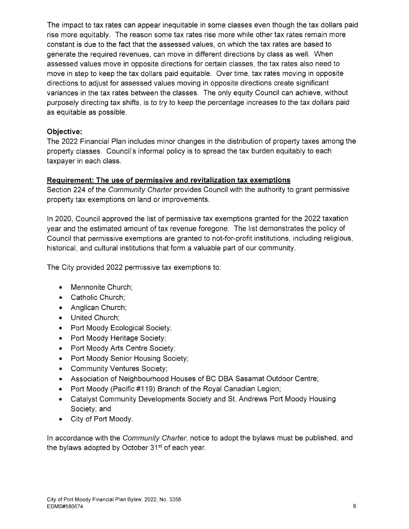The impact to tax rates can appear inequitable in some classes even though the tax dollars paid rise more equitably. The reason some tax rates rise more while other tax rates remain more constant is due to the fact that the assessed values, on which the tax rates are based to generate the required revenues, can move in different directions by class as well. When assessed values move in opposite directions for certain classes, the tax rates also need to move in step to keep the tax dollars paid equitable. Over time, tax rates moving in opposite directions to adjust for assessed values moving in opposite directions create significant variances in the tax rates between the classes. The only equity Council can achieve, without purposely directing tax shifts, is to try to keep the percentage increases to the tax dollars paid as equitable as possible.

#### Objective:

The 2022 Financial Plan includes minor changes in the distribution of property taxes among the property classes. Council's informal policy is to spread the tax burden equitably to each taxpayer in each class.

#### Requirement: The use of permissive and revitalization tax exemptions

Section 224 of the Community Charter provides Council with the authority to grant permissive property tax exemptions on land or improvements.

In 2020, Council approved the list of permissive tax exemptions granted for the 2022 taxation year and the estimated amount of tax revenue foregone. The list demonstrates the policy of Council that permissive exemptions are granted to not-for-profit institutions, including religious, historical, and cultural institutions that form a valuable part of our community.

The City provided 2022 permissive tax exemptions to:

- Mennonite Church;
- Catholic Church;
- Anglican Church;
- United Church;
- Port Moody Ecological Society;
- Port Moody Heritage Society;
- Port Moody Arts Centre Society;
- Port Moody Senior Housing Society;
- Community Ventures Society;
- Association of Neighbourhood Houses of BC DBA Sasamat Outdoor Centre;
- Port Moody (Pacific #119) Branch of the Royal Canadian Legion;
- Catalyst Community Developments Society and St. Andrews Port Moody Housing Society; and
- City of Port Moody.

In accordance with the *Community Charter*, notice to adopt the bylaws must be published, and the bylaws adopted by October 31<sup>st</sup> of each year.